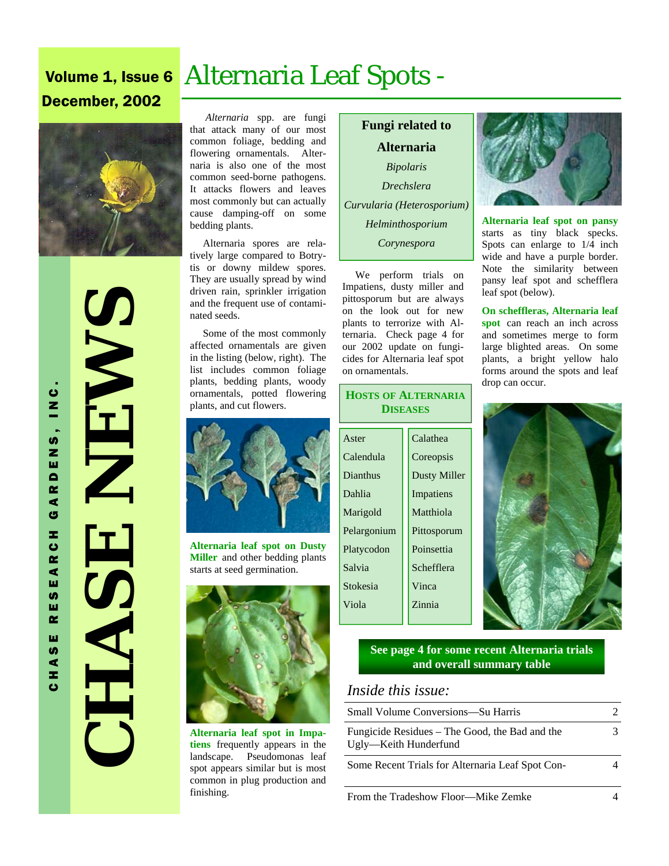# Volume 1, Issue 6 Alternaria Leaf Spots -

# December, 2002



 **CHASE NEWS**  NE NA HASE

*Alternaria* spp. are fungi that attack many of our most common foliage, bedding and flowering ornamentals. Alternaria is also one of the most common seed-borne pathogens. It attacks flowers and leaves most commonly but can actually cause damping-off on some bedding plants.

 Alternaria spores are relatively large compared to Botrytis or downy mildew spores. They are usually spread by wind driven rain, sprinkler irrigation and the frequent use of contaminated seeds.

 Some of the most commonly affected ornamentals are given in the listing (below, right). The list includes common foliage plants, bedding plants, woody ornamentals, potted flowering plants, and cut flowers.



**Alternaria leaf spot on Dusty Miller** and other bedding plants starts at seed germination.



**Alternaria leaf spot in Impatiens** frequently appears in the landscape. Pseudomonas leaf spot appears similar but is most common in plug production and finishing.

**Fungi related to Alternaria**  *Bipolaris Drechslera Curvularia (Heterosporium) Helminthosporium Corynespora*

 We perform trials on Impatiens, dusty miller and pittosporum but are always on the look out for new plants to terrorize with Alternaria. Check page 4 for our 2002 update on fungicides for Alternaria leaf spot on ornamentals.

#### Aster Calendula Dianthus Dahlia Marigold Pelargonium Platycodon Salvia Stokesia Viola Calathea **Coreopsis** Dusty Miller Impatiens Matthiola Pittosporum Poinsettia Schefflera Vinca Zinnia **HOSTS OF ALTERNARIA DISEASES**



**Alternaria leaf spot on pansy**  starts as tiny black specks. Spots can enlarge to 1/4 inch wide and have a purple border. Note the similarity between pansy leaf spot and schefflera leaf spot (below).

**On scheffleras, Alternaria leaf spot** can reach an inch across and sometimes merge to form large blighted areas. On some plants, a bright yellow halo forms around the spots and leaf drop can occur.



#### **See page 4 for some recent Alternaria trials and overall summary table**

## *Inside this issue:*

| Small Volume Conversions—Su Harris                                      |  |
|-------------------------------------------------------------------------|--|
| Fungicide Residues – The Good, the Bad and the<br>Ugly-Keith Hunderfund |  |
| Some Recent Trials for Alternaria Leaf Spot Con-                        |  |
| From the Tradeshow Floor—Mike Zemke                                     |  |

CHASE RESEARCH GARDENS, INC. GARDENS, INC. RESEARCH HASE ت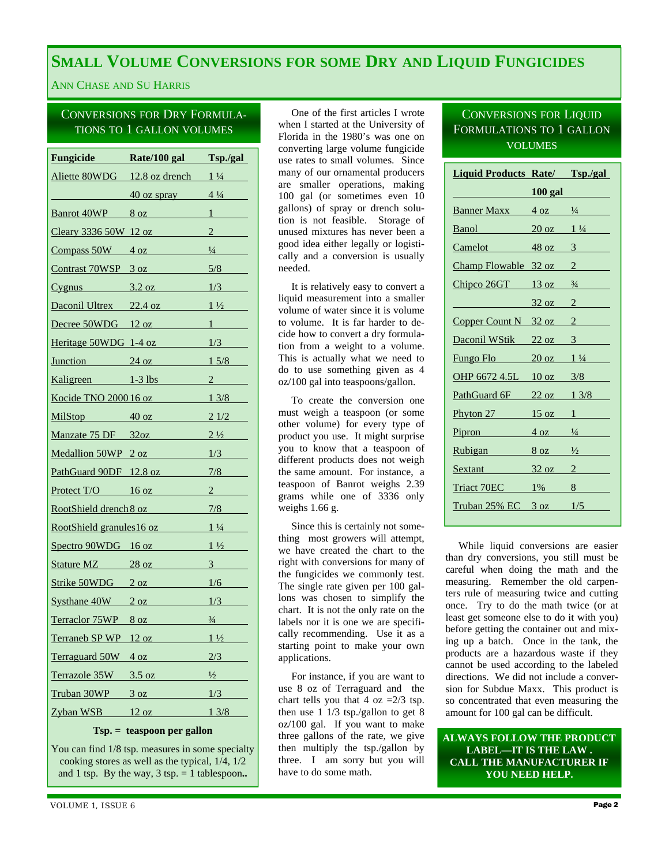# **SMALL VOLUME CONVERSIONS FOR SOME DRY AND LIQUID FUNGICIDES**

#### ANN CHASE AND SU HARRIS

#### CONVERSIONS FOR DRY FORMULA-TIONS TO 1 GALLON VOLUMES

| <b>Fungicide Rate/100 gal Tsp./gal</b> |                                                 |                    |
|----------------------------------------|-------------------------------------------------|--------------------|
|                                        | Aliette 80WDG $12.8$ oz drench $1\frac{1}{4}$   |                    |
|                                        | $40 \text{ oz }$ spray $4\frac{1}{4}$           |                    |
| Banrot 40WP                            | $8 \text{ oz}$ 1                                |                    |
|                                        | <u>Cleary 3336 50W 12 oz</u>                    | $\overline{2}$     |
|                                        | $Compass 50W$ 4 oz $\frac{1}{4}$                |                    |
|                                        | $Contrast 70WSP 3 oz$ 5/8                       |                    |
|                                        | $Cygnus$ 3.2 oz $1/3$                           |                    |
|                                        | Daconil Ultrex $22.4 \text{ oz}$ $1\frac{1}{2}$ |                    |
|                                        | Decree 50WDG 12 oz                              | $1 \qquad \qquad$  |
| Heritage $50WDG$ 1-4 oz $1/3$          |                                                 |                    |
|                                        | $\frac{\text{Junction}}{\text{24 oz}}$ 1 5/8    |                    |
|                                        | Kaligreen 1-3 lbs                               | $2 \left  \right $ |
|                                        | <u>Kocide TNO 2000 16 oz 13/8</u>               |                    |
|                                        | Mil $\text{Stop}$ 40 oz 2 1/2                   |                    |
|                                        | Manzate 75 DF $32oz$ 2 $\frac{1}{2}$            |                    |
|                                        | Medallion $50WP$ 2 oz $1/3$                     |                    |
| PathGuard 90DF 12.8 oz                 |                                                 | 7/8                |
| Protect $T/O$ 16 oz                    |                                                 | $\overline{2}$     |
|                                        | RootShield drench 8 oz                          | 7/8                |
| RootShield granules16 oz               |                                                 | $1\frac{1}{4}$     |
| Spectro 90WDG 16 oz                    |                                                 | $1\frac{1}{2}$     |
|                                        | Stature MZ 28 oz                                | $\frac{3}{2}$      |
|                                        | Strike $50WDG$ 2 oz $1/6$                       |                    |
| $Systhane 40W$ 2 oz                    |                                                 | 1/3                |
| Terraclor 75WP 8 oz                    |                                                 | $\frac{3}{4}$      |
|                                        | $Termneb$ SP WP $12 oz$ $1\frac{1}{2}$          |                    |
| Terraguard 50W 4 oz                    |                                                 | 2/3                |
| Terrazole 35W 3.5 oz                   |                                                 | $\frac{1}{2}$      |
| <u>Truban 30WP</u>                     | 3 oz                                            | 1/3                |
| Zyban WSB                              | 12 oz                                           | 13/8               |

**Tsp. = teaspoon per gallon** 

You can find 1/8 tsp. measures in some specialty cooking stores as well as the typical, 1/4, 1/2 and 1 tsp. By the way,  $3 \text{ tsp.} = 1$  tablespoon..

 One of the first articles I wrote when I started at the University of Florida in the 1980's was one on converting large volume fungicide use rates to small volumes. Since many of our ornamental producers are smaller operations, making 100 gal (or sometimes even 10 gallons) of spray or drench solution is not feasible. Storage of unused mixtures has never been a good idea either legally or logistically and a conversion is usually needed.

 It is relatively easy to convert a liquid measurement into a smaller volume of water since it is volume to volume. It is far harder to decide how to convert a dry formulation from a weight to a volume. This is actually what we need to do to use something given as 4 oz/100 gal into teaspoons/gallon.

 To create the conversion one must weigh a teaspoon (or some other volume) for every type of product you use. It might surprise you to know that a teaspoon of different products does not weigh the same amount. For instance, a teaspoon of Banrot weighs 2.39 grams while one of 3336 only weighs 1.66 g.

 Since this is certainly not something most growers will attempt, we have created the chart to the right with conversions for many of the fungicides we commonly test. The single rate given per 100 gallons was chosen to simplify the chart. It is not the only rate on the labels nor it is one we are specifically recommending. Use it as a starting point to make your own applications.

 For instance, if you are want to use 8 oz of Terraguard and the chart tells you that 4 oz  $=2/3$  tsp. then use  $1 \overline{1/3}$  tsp./gallon to get  $8$ oz/100 gal. If you want to make three gallons of the rate, we give then multiply the tsp./gallon by three. I am sorry but you will have to do some math.

#### CONVERSIONS FOR LIQUID FORMULATIONS TO 1 GALLON VOLUMES

| <b>Liquid Products Rate/ Tsp./gal</b>           |                                |
|-------------------------------------------------|--------------------------------|
|                                                 | $100$ gal                      |
| <b>Banner Maxx</b> $4 \text{ oz}$ $\frac{1}{4}$ |                                |
| Banol <b>Banch</b>                              | $20 \text{ oz}$ $1\frac{1}{4}$ |
| Camelot 48 oz 3                                 |                                |
| Champ Flowable 32 oz 2                          |                                |
| $Chipco 26GT$ 13 oz $\frac{3}{4}$               |                                |
|                                                 | $32 \text{ oz}$ 2              |
| Copper Count N 32 oz 2                          |                                |
| Daconil WStik 22 oz 3                           |                                |
| Fungo Flo $20 \text{ oz}$ 1 $\frac{1}{4}$       |                                |
| OHP 6672 4.5L                                   | $10 \text{ oz}$ $3/8$          |
| PathGuard 6F                                    | $22 oz - 13/8$                 |
| Phyton 27 $15 \text{ oz}$ 1                     |                                |
| Pipron                                          | $4 \text{ oz}$ $\frac{1}{4}$   |
| Rubigan $8 \text{ oz}$ $\frac{1}{2}$            |                                |
| $S$ extant $32 oz$ 2                            |                                |
| Triact 70EC 1% 8                                |                                |
| $Truban 25\% EC$ 3 oz $1/5$                     |                                |
|                                                 |                                |

 While liquid conversions are easier than dry conversions, you still must be careful when doing the math and the measuring. Remember the old carpenters rule of measuring twice and cutting once. Try to do the math twice (or at least get someone else to do it with you) before getting the container out and mixing up a batch. Once in the tank, the products are a hazardous waste if they cannot be used according to the labeled directions. We did not include a conversion for Subdue Maxx. This product is so concentrated that even measuring the amount for 100 gal can be difficult.

**ALWAYS FOLLOW THE PRODUCT LABEL—IT IS THE LAW . CALL THE MANUFACTURER IF YOU NEED HELP.**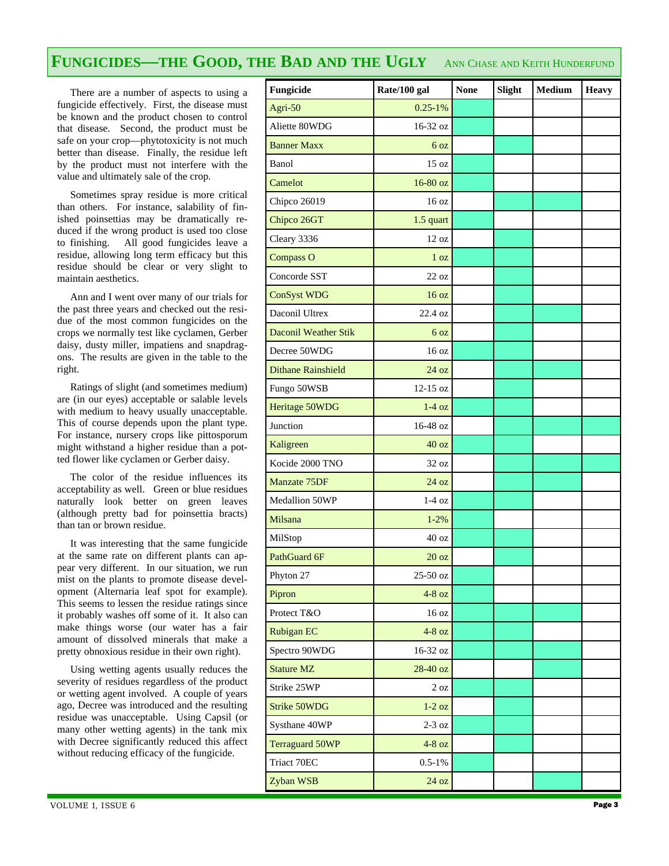### **FUNGICIDES—THE GOOD, THE BAD AND THE UGLY** ANN CHASE AND KEITH HUNDERFUND

 There are a number of aspects to using a fungicide effectively. First, the disease must be known and the product chosen to control that disease. Second, the product must be safe on your crop—phytotoxicity is not much better than disease. Finally, the residue left by the product must not interfere with the value and ultimately sale of the crop.

 Sometimes spray residue is more critical than others. For instance, salability of finished poinsettias may be dramatically reduced if the wrong product is used too close to finishing. All good fungicides leave a residue, allowing long term efficacy but this residue should be clear or very slight to maintain aesthetics.

 Ann and I went over many of our trials for the past three years and checked out the residue of the most common fungicides on the crops we normally test like cyclamen, Gerber daisy, dusty miller, impatiens and snapdragons. The results are given in the table to the right.

 Ratings of slight (and sometimes medium) are (in our eyes) acceptable or salable levels with medium to heavy usually unacceptable. This of course depends upon the plant type. For instance, nursery crops like pittosporum might withstand a higher residue than a potted flower like cyclamen or Gerber daisy.

 The color of the residue influences its acceptability as well. Green or blue residues naturally look better on green leaves (although pretty bad for poinsettia bracts) than tan or brown residue.

 It was interesting that the same fungicide at the same rate on different plants can appear very different. In our situation, we run mist on the plants to promote disease development (Alternaria leaf spot for example). This seems to lessen the residue ratings since it probably washes off some of it. It also can make things worse (our water has a fair amount of dissolved minerals that make a pretty obnoxious residue in their own right).

 Using wetting agents usually reduces the severity of residues regardless of the product or wetting agent involved. A couple of years ago, Decree was introduced and the resulting residue was unacceptable. Using Capsil (or many other wetting agents) in the tank mix with Decree significantly reduced this affect without reducing efficacy of the fungicide.

| Fungicide                 | Rate/100 gal     | <b>None</b> | Slight | <b>Medium</b> | <b>Heavy</b> |
|---------------------------|------------------|-------------|--------|---------------|--------------|
| Agri-50                   | $0.25 - 1\%$     |             |        |               |              |
| Aliette 80WDG             | 16-32 oz         |             |        |               |              |
| <b>Banner Maxx</b>        | 6 <sub>oz</sub>  |             |        |               |              |
| Banol                     | 15 oz            |             |        |               |              |
| Camelot                   | $16-80$ oz       |             |        |               |              |
| Chipco 26019              | 16 oz            |             |        |               |              |
| Chipco 26GT               | 1.5 quart        |             |        |               |              |
| Cleary 3336               | 12 oz            |             |        |               |              |
| <b>Compass O</b>          | 1 <sub>oz</sub>  |             |        |               |              |
| Concorde SST              | $22 \text{ oz}$  |             |        |               |              |
| <b>ConSyst WDG</b>        | 16 oz            |             |        |               |              |
| Daconil Ultrex            | 22.4 oz          |             |        |               |              |
| Daconil Weather Stik      | 6 <sub>oz</sub>  |             |        |               |              |
| Decree 50WDG              | 16 <sub>oz</sub> |             |        |               |              |
| <b>Dithane Rainshield</b> | 24 oz            |             |        |               |              |
| Fungo 50WSB               | $12-15$ oz       |             |        |               |              |
| Heritage 50WDG            | $1-4$ oz         |             |        |               |              |
| Junction                  | 16-48 oz         |             |        |               |              |
| Kaligreen                 | 40 oz            |             |        |               |              |
| Kocide 2000 TNO           | 32 oz            |             |        |               |              |
| Manzate 75DF              | 24 oz            |             |        |               |              |
| Medallion 50WP            | $1-4$ oz         |             |        |               |              |
| Milsana                   | $1 - 2%$         |             |        |               |              |
| MilStop                   | 40 oz            |             |        |               |              |
| PathGuard 6F              | 20 oz            |             |        |               |              |
| Phyton 27                 | 25-50 oz         |             |        |               |              |
| Pipron                    | $4-8$ oz         |             |        |               |              |
| Protect T&O               | 16 <sub>oz</sub> |             |        |               |              |
| <b>Rubigan EC</b>         | $4-8$ oz         |             |        |               |              |
| Spectro 90WDG             | 16-32 oz         |             |        |               |              |
| <b>Stature MZ</b>         | 28-40 oz         |             |        |               |              |
| Strike 25WP               | $2 \text{ oz}$   |             |        |               |              |
| <b>Strike 50WDG</b>       | $1-2$ oz         |             |        |               |              |
| Systhane 40WP             | $2-3$ oz         |             |        |               |              |
| <b>Terraguard 50WP</b>    | $4-8$ oz         |             |        |               |              |
| Triact 70EC               | $0.5 - 1\%$      |             |        |               |              |
| Zyban WSB                 | 24 oz            |             |        |               |              |